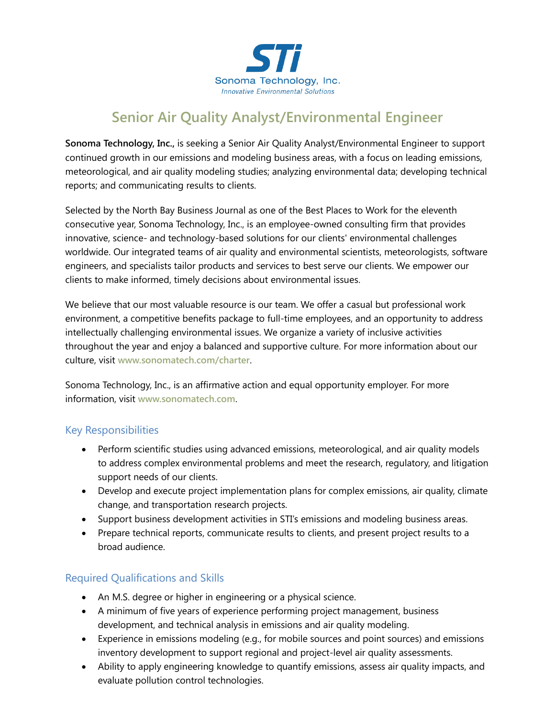

# **Senior Air Quality Analyst/Environmental Engineer**

**Sonoma Technology, Inc.,** is seeking a Senior Air Quality Analyst/Environmental Engineer to support continued growth in our emissions and modeling business areas, with a focus on leading emissions, meteorological, and air quality modeling studies; analyzing environmental data; developing technical reports; and communicating results to clients.

Selected by the North Bay Business Journal as one of the Best Places to Work for the eleventh consecutive year, Sonoma Technology, Inc., is an employee-owned consulting firm that provides innovative, science- and technology-based solutions for our clients' environmental challenges worldwide. Our integrated teams of air quality and environmental scientists, meteorologists, software engineers, and specialists tailor products and services to best serve our clients. We empower our clients to make informed, timely decisions about environmental issues.

We believe that our most valuable resource is our team. We offer a casual but professional work environment, a competitive benefits package to full-time employees, and an opportunity to address intellectually challenging environmental issues. We organize a variety of inclusive activities throughout the year and enjoy a balanced and supportive culture. For more information about our culture, visit **[www.sonomatech.com/charter](http://www.sonomatech.com/charter)**.

Sonoma Technology, Inc., is an affirmative action and equal opportunity employer. For more information, visit **[www.sonomatech.com](http://www.sonomatech.com/)**.

#### Key Responsibilities

- Perform scientific studies using advanced emissions, meteorological, and air quality models to address complex environmental problems and meet the research, regulatory, and litigation support needs of our clients.
- Develop and execute project implementation plans for complex emissions, air quality, climate change, and transportation research projects.
- Support business development activities in STI's emissions and modeling business areas.
- Prepare technical reports, communicate results to clients, and present project results to a broad audience.

## Required Qualifications and Skills

- An M.S. degree or higher in engineering or a physical science.
- A minimum of five years of experience performing project management, business development, and technical analysis in emissions and air quality modeling.
- Experience in emissions modeling (e.g., for mobile sources and point sources) and emissions inventory development to support regional and project-level air quality assessments.
- Ability to apply engineering knowledge to quantify emissions, assess air quality impacts, and evaluate pollution control technologies.